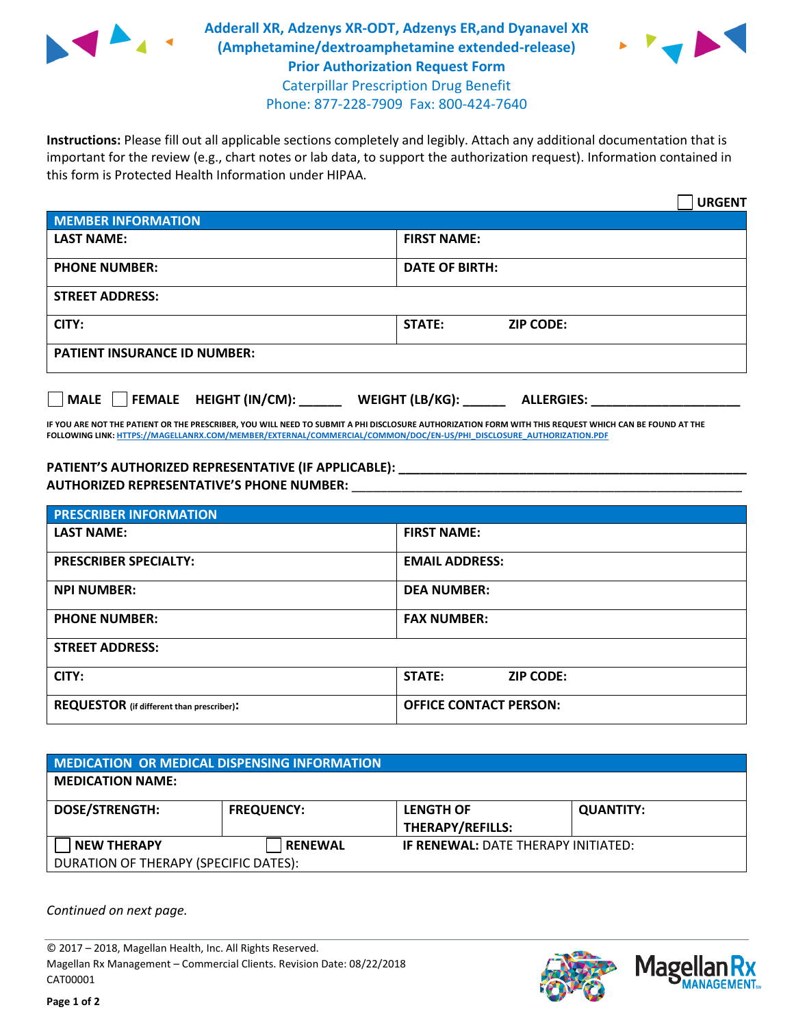

**Adderall XR, Adzenys XR-ODT, Adzenys ER,and Dyanavel XR (Amphetamine/dextroamphetamine extended-release) Prior Authorization Request Form** Caterpillar Prescription Drug Benefit Phone: 877-228-7909 Fax: 800-424-7640



**Instructions:** Please fill out all applicable sections completely and legibly. Attach any additional documentation that is important for the review (e.g., chart notes or lab data, to support the authorization request). Information contained in this form is Protected Health Information under HIPAA.

|                                     | <b>URGENT</b>              |  |  |  |
|-------------------------------------|----------------------------|--|--|--|
| MEMBER INFORMATION                  |                            |  |  |  |
| <b>LAST NAME:</b>                   | <b>FIRST NAME:</b>         |  |  |  |
| <b>PHONE NUMBER:</b>                | <b>DATE OF BIRTH:</b>      |  |  |  |
| <b>STREET ADDRESS:</b>              |                            |  |  |  |
| CITY:                               | STATE:<br><b>ZIP CODE:</b> |  |  |  |
| <b>PATIENT INSURANCE ID NUMBER:</b> |                            |  |  |  |
|                                     |                            |  |  |  |

| MALE |  |  | FEMALE HEIGHT (IN/CM): | <b>WEIGHT (LB/KG):</b> | <b>ALLERGIES:</b> |
|------|--|--|------------------------|------------------------|-------------------|
|------|--|--|------------------------|------------------------|-------------------|

**IF YOU ARE NOT THE PATIENT OR THE PRESCRIBER, YOU WILL NEED TO SUBMIT A PHI DISCLOSURE AUTHORIZATION FORM WITH THIS REQUEST WHICH CAN BE FOUND AT THE FOLLOWING LINK[: HTTPS://MAGELLANRX.COM/MEMBER/EXTERNAL/COMMERCIAL/COMMON/DOC/EN-US/PHI\\_DISCLOSURE\\_AUTHORIZATION.PDF](https://magellanrx.com/member/external/commercial/common/doc/en-us/PHI_Disclosure_Authorization.pdf)**

## **PATIENT'S AUTHORIZED REPRESENTATIVE (IF APPLICABLE): \_\_\_\_\_\_\_\_\_\_\_\_\_\_\_\_\_\_\_\_\_\_\_\_\_\_\_\_\_\_\_\_\_\_\_\_\_\_\_\_\_\_\_\_\_\_\_\_\_ AUTHORIZED REPRESENTATIVE'S PHONE NUMBER:** \_\_\_\_\_\_\_\_\_\_\_\_\_\_\_\_\_\_\_\_\_\_\_\_\_\_\_\_\_\_\_\_\_\_\_\_\_\_\_\_\_\_\_\_\_\_\_\_\_\_\_\_\_\_\_

| <b>PRESCRIBER INFORMATION</b>                    |                                   |  |  |  |
|--------------------------------------------------|-----------------------------------|--|--|--|
| <b>LAST NAME:</b>                                | <b>FIRST NAME:</b>                |  |  |  |
| <b>PRESCRIBER SPECIALTY:</b>                     | <b>EMAIL ADDRESS:</b>             |  |  |  |
| <b>NPI NUMBER:</b>                               | <b>DEA NUMBER:</b>                |  |  |  |
| <b>PHONE NUMBER:</b>                             | <b>FAX NUMBER:</b>                |  |  |  |
| <b>STREET ADDRESS:</b>                           |                                   |  |  |  |
| CITY:                                            | <b>STATE:</b><br><b>ZIP CODE:</b> |  |  |  |
| <b>REQUESTOR</b> (if different than prescriber): | <b>OFFICE CONTACT PERSON:</b>     |  |  |  |

| MEDICATION OR MEDICAL DISPENSING INFORMATION |                   |                                            |                  |  |  |
|----------------------------------------------|-------------------|--------------------------------------------|------------------|--|--|
| <b>MEDICATION NAME:</b>                      |                   |                                            |                  |  |  |
| <b>DOSE/STRENGTH:</b>                        | <b>FREQUENCY:</b> | <b>LENGTH OF</b>                           | <b>QUANTITY:</b> |  |  |
|                                              |                   | <b>THERAPY/REFILLS:</b>                    |                  |  |  |
| <b>NEW THERAPY</b>                           | <b>RENEWAL</b>    | <b>IF RENEWAL: DATE THERAPY INITIATED:</b> |                  |  |  |
| DURATION OF THERAPY (SPECIFIC DATES):        |                   |                                            |                  |  |  |

*Continued on next page.*

© 2017 – 2018, Magellan Health, Inc. All Rights Reserved. Magellan Rx Management – Commercial Clients. Revision Date: 08/22/2018 CAT00001